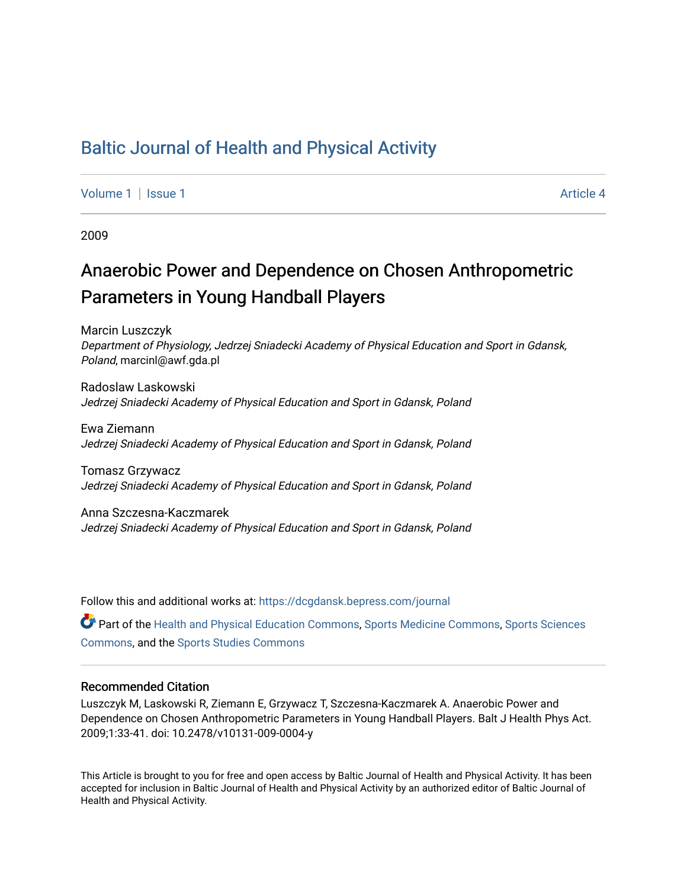## [Baltic Journal of Health and Physical Activity](https://dcgdansk.bepress.com/journal)

[Volume 1](https://dcgdansk.bepress.com/journal/vol1) | [Issue 1](https://dcgdansk.bepress.com/journal/vol1/iss1) Article 4

2009

# Anaerobic Power and Dependence on Chosen Anthropometric Parameters in Young Handball Players

Marcin Luszczyk Department of Physiology, Jedrzej Sniadecki Academy of Physical Education and Sport in Gdansk, Poland, marcinl@awf.gda.pl

Radoslaw Laskowski Jedrzej Sniadecki Academy of Physical Education and Sport in Gdansk, Poland

Ewa Ziemann Jedrzej Sniadecki Academy of Physical Education and Sport in Gdansk, Poland

Tomasz Grzywacz Jedrzej Sniadecki Academy of Physical Education and Sport in Gdansk, Poland

Anna Szczesna-Kaczmarek Jedrzej Sniadecki Academy of Physical Education and Sport in Gdansk, Poland

Follow this and additional works at: [https://dcgdansk.bepress.com/journal](https://dcgdansk.bepress.com/journal?utm_source=dcgdansk.bepress.com%2Fjournal%2Fvol1%2Fiss1%2F4&utm_medium=PDF&utm_campaign=PDFCoverPages)

Part of the [Health and Physical Education Commons](http://network.bepress.com/hgg/discipline/1327?utm_source=dcgdansk.bepress.com%2Fjournal%2Fvol1%2Fiss1%2F4&utm_medium=PDF&utm_campaign=PDFCoverPages), [Sports Medicine Commons,](http://network.bepress.com/hgg/discipline/1331?utm_source=dcgdansk.bepress.com%2Fjournal%2Fvol1%2Fiss1%2F4&utm_medium=PDF&utm_campaign=PDFCoverPages) [Sports Sciences](http://network.bepress.com/hgg/discipline/759?utm_source=dcgdansk.bepress.com%2Fjournal%2Fvol1%2Fiss1%2F4&utm_medium=PDF&utm_campaign=PDFCoverPages) [Commons](http://network.bepress.com/hgg/discipline/759?utm_source=dcgdansk.bepress.com%2Fjournal%2Fvol1%2Fiss1%2F4&utm_medium=PDF&utm_campaign=PDFCoverPages), and the [Sports Studies Commons](http://network.bepress.com/hgg/discipline/1198?utm_source=dcgdansk.bepress.com%2Fjournal%2Fvol1%2Fiss1%2F4&utm_medium=PDF&utm_campaign=PDFCoverPages) 

#### Recommended Citation

Luszczyk M, Laskowski R, Ziemann E, Grzywacz T, Szczesna-Kaczmarek A. Anaerobic Power and Dependence on Chosen Anthropometric Parameters in Young Handball Players. Balt J Health Phys Act. 2009;1:33-41. doi: 10.2478/v10131-009-0004-y

This Article is brought to you for free and open access by Baltic Journal of Health and Physical Activity. It has been accepted for inclusion in Baltic Journal of Health and Physical Activity by an authorized editor of Baltic Journal of Health and Physical Activity.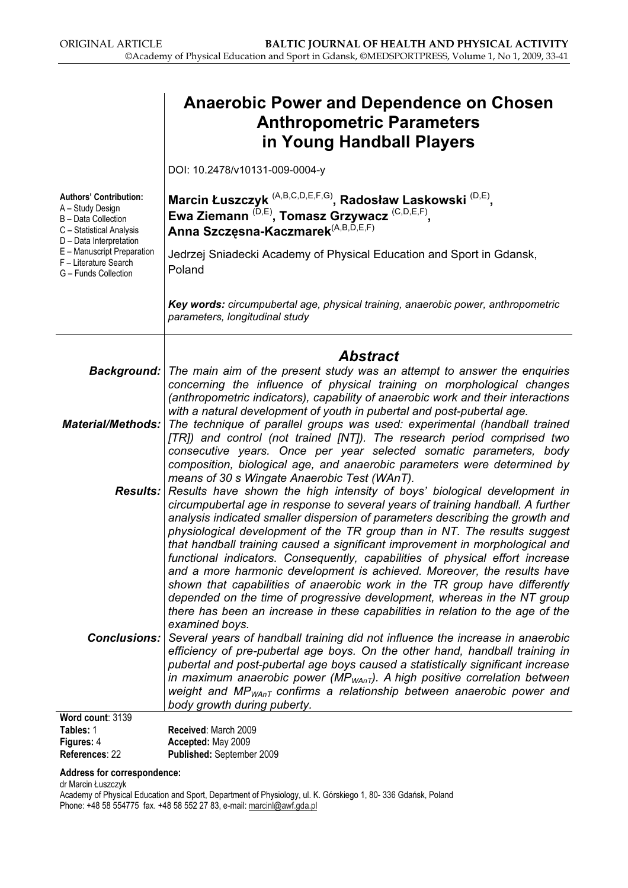|                                                                                                                                                                                                                | <b>Anaerobic Power and Dependence on Chosen</b><br><b>Anthropometric Parameters</b><br>in Young Handball Players                                                                                                                                                                                                                                                                                                                                                                                                                                                                                                            |  |  |  |  |
|----------------------------------------------------------------------------------------------------------------------------------------------------------------------------------------------------------------|-----------------------------------------------------------------------------------------------------------------------------------------------------------------------------------------------------------------------------------------------------------------------------------------------------------------------------------------------------------------------------------------------------------------------------------------------------------------------------------------------------------------------------------------------------------------------------------------------------------------------------|--|--|--|--|
|                                                                                                                                                                                                                | DOI: 10.2478/v10131-009-0004-y                                                                                                                                                                                                                                                                                                                                                                                                                                                                                                                                                                                              |  |  |  |  |
| <b>Authors' Contribution:</b><br>A - Study Design<br>B - Data Collection<br>C - Statistical Analysis<br>D - Data Interpretation<br>E - Manuscript Preparation<br>F - Literature Search<br>G - Funds Collection | Marcin Łuszczyk <sup>(A,B,C,D,E,F,G)</sup> , Radosław Laskowski <sup>(D,E)</sup> ,<br>Ewa Ziemann <sup>(D,E)</sup> , Tomasz Grzywacz <sup>(C,D,E,F)</sup> ,<br>Anna Szczęsna-Kaczmarek <sup>(A,B,D,E,F)</sup>                                                                                                                                                                                                                                                                                                                                                                                                               |  |  |  |  |
|                                                                                                                                                                                                                | Jedrzej Sniadecki Academy of Physical Education and Sport in Gdansk,<br>Poland                                                                                                                                                                                                                                                                                                                                                                                                                                                                                                                                              |  |  |  |  |
|                                                                                                                                                                                                                | Key words: circumpubertal age, physical training, anaerobic power, anthropometric<br>parameters, longitudinal study                                                                                                                                                                                                                                                                                                                                                                                                                                                                                                         |  |  |  |  |
|                                                                                                                                                                                                                | <b>Abstract</b>                                                                                                                                                                                                                                                                                                                                                                                                                                                                                                                                                                                                             |  |  |  |  |
| <b>Background:</b>                                                                                                                                                                                             | The main aim of the present study was an attempt to answer the enquiries<br>concerning the influence of physical training on morphological changes<br>(anthropometric indicators), capability of anaerobic work and their interactions                                                                                                                                                                                                                                                                                                                                                                                      |  |  |  |  |
| <b>Material/Methods:</b>                                                                                                                                                                                       | with a natural development of youth in pubertal and post-pubertal age.<br>The technique of parallel groups was used: experimental (handball trained<br>[TR]) and control (not trained [NT]). The research period comprised two                                                                                                                                                                                                                                                                                                                                                                                              |  |  |  |  |
|                                                                                                                                                                                                                | consecutive years. Once per year selected somatic parameters, body<br>composition, biological age, and anaerobic parameters were determined by<br>means of 30 s Wingate Anaerobic Test (WAnT).<br><b>Results:</b> Results have shown the high intensity of boys' biological development in<br>circumpubertal age in response to several years of training handball. A further<br>analysis indicated smaller dispersion of parameters describing the growth and<br>physiological development of the TR group than in NT. The results suggest<br>that handball training caused a significant improvement in morphological and |  |  |  |  |
|                                                                                                                                                                                                                | functional indicators. Consequently, capabilities of physical effort increase<br>and a more harmonic development is achieved. Moreover, the results have<br>shown that capabilities of anaerobic work in the TR group have differently<br>depended on the time of progressive development, whereas in the NT group<br>there has been an increase in these capabilities in relation to the age of the<br>examined boys.                                                                                                                                                                                                      |  |  |  |  |
| <b>Conclusions:</b>                                                                                                                                                                                            | Several years of handball training did not influence the increase in anaerobic<br>efficiency of pre-pubertal age boys. On the other hand, handball training in<br>pubertal and post-pubertal age boys caused a statistically significant increase<br>in maximum anaerobic power ( $MP_{WAnT}$ ). A high positive correlation between<br>weight and $MP_{WAnT}$ confirms a relationship between anaerobic power and<br>body growth during puberty.                                                                                                                                                                           |  |  |  |  |
| Word count: 3139                                                                                                                                                                                               |                                                                                                                                                                                                                                                                                                                                                                                                                                                                                                                                                                                                                             |  |  |  |  |
| Tables: 1<br>Figures: 4                                                                                                                                                                                        | Received: March 2009<br>Accepted: May 2009                                                                                                                                                                                                                                                                                                                                                                                                                                                                                                                                                                                  |  |  |  |  |

References: 22 Published: September 2009

#### Address for correspondence:

dr Marcin Łuszczyk

Academy of Physical Education and Sport, Department of Physiology, ul. K. Górskiego 1, 80- 336 Gdańsk, Poland Phone: +48 58 554775 fax. +48 58 552 27 83, e-mail: <u>marcinl@awf.gda.pl</u>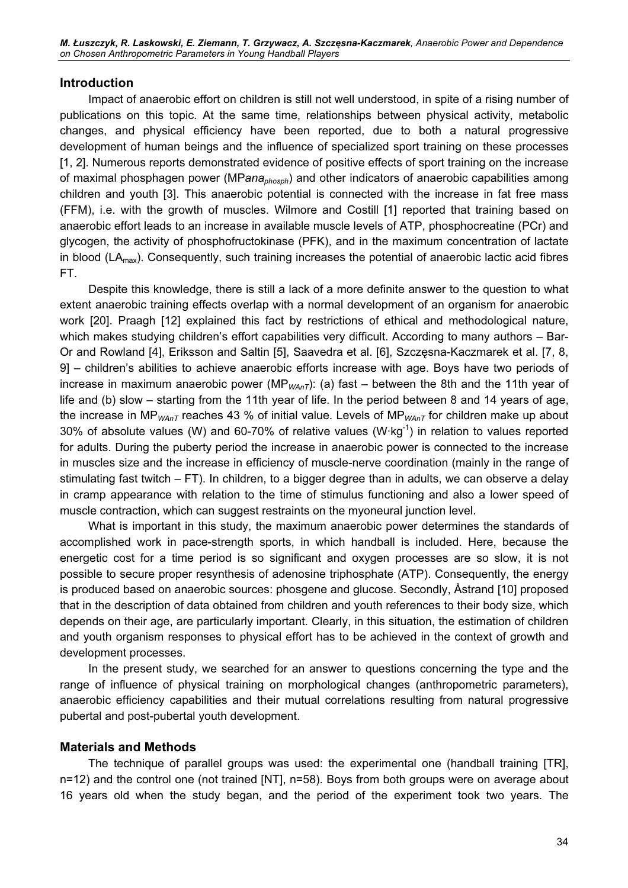#### Introduction

Impact of anaerobic effort on children is still not well understood, in spite of a rising number of publications on this topic. At the same time, relationships between physical activity, metabolic changes, and physical efficiency have been reported, due to both a natural progressive development of human beings and the influence of specialized sport training on these processes [1, 2]. Numerous reports demonstrated evidence of positive effects of sport training on the increase of maximal phosphagen power (MPana<sub>phosph</sub>) and other indicators of anaerobic capabilities among children and youth [3]. This anaerobic potential is connected with the increase in fat free mass (FFM), i.e. with the growth of muscles. Wilmore and Costill [1] reported that training based on anaerobic effort leads to an increase in available muscle levels of ATP, phosphocreatine (PCr) and glycogen, the activity of phosphofructokinase (PFK), and in the maximum concentration of lactate in blood ( $LA<sub>max</sub>$ ). Consequently, such training increases the potential of anaerobic lactic acid fibres FT.

Despite this knowledge, there is still a lack of a more definite answer to the question to what extent anaerobic training effects overlap with a normal development of an organism for anaerobic work [20]. Praagh [12] explained this fact by restrictions of ethical and methodological nature, which makes studying children's effort capabilities very difficult. According to many authors – Bar-Or and Rowland [4], Eriksson and Saltin [5], Saavedra et al. [6], Szczęsna-Kaczmarek et al. [7, 8, 9] – children's abilities to achieve anaerobic efforts increase with age. Boys have two periods of increase in maximum anaerobic power (MP<sub>WAnT</sub>): (a) fast – between the 8th and the 11th year of life and (b) slow – starting from the 11th year of life. In the period between 8 and 14 years of age, the increase in MP<sub>WAnT</sub> reaches 43 % of initial value. Levels of MP<sub>WAnT</sub> for children make up about 30% of absolute values (W) and 60-70% of relative values (W $\cdot$ kg<sup>-1</sup>) in relation to values reported for adults. During the puberty period the increase in anaerobic power is connected to the increase in muscles size and the increase in efficiency of muscle-nerve coordination (mainly in the range of stimulating fast twitch – FT). In children, to a bigger degree than in adults, we can observe a delay in cramp appearance with relation to the time of stimulus functioning and also a lower speed of muscle contraction, which can suggest restraints on the myoneural junction level.

What is important in this study, the maximum anaerobic power determines the standards of accomplished work in pace-strength sports, in which handball is included. Here, because the energetic cost for a time period is so significant and oxygen processes are so slow, it is not possible to secure proper resynthesis of adenosine triphosphate (ATP). Consequently, the energy is produced based on anaerobic sources: phosgene and glucose. Secondly, Åstrand [10] proposed that in the description of data obtained from children and youth references to their body size, which depends on their age, are particularly important. Clearly, in this situation, the estimation of children and youth organism responses to physical effort has to be achieved in the context of growth and development processes.

In the present study, we searched for an answer to questions concerning the type and the range of influence of physical training on morphological changes (anthropometric parameters), anaerobic efficiency capabilities and their mutual correlations resulting from natural progressive pubertal and post-pubertal youth development.

#### Materials and Methods

The technique of parallel groups was used: the experimental one (handball training [TR], n=12) and the control one (not trained [NT], n=58). Boys from both groups were on average about 16 years old when the study began, and the period of the experiment took two years. The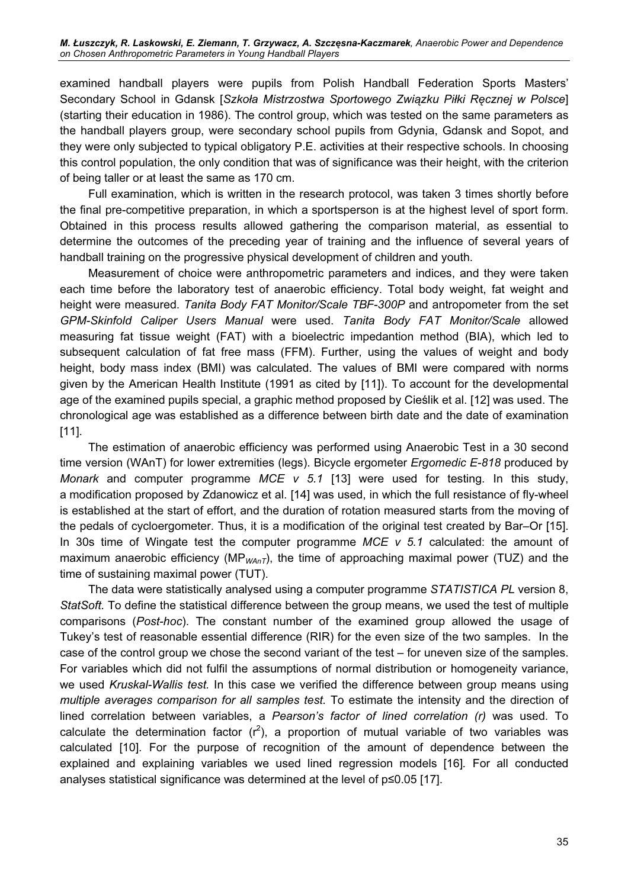examined handball players were pupils from Polish Handball Federation Sports Masters' Secondary School in Gdansk [Szkoła Mistrzostwa Sportowego Związku Piłki Ręcznej w Polsce] (starting their education in 1986). The control group, which was tested on the same parameters as the handball players group, were secondary school pupils from Gdynia, Gdansk and Sopot, and they were only subjected to typical obligatory P.E. activities at their respective schools. In choosing this control population, the only condition that was of significance was their height, with the criterion of being taller or at least the same as 170 cm.

Full examination, which is written in the research protocol, was taken 3 times shortly before the final pre-competitive preparation, in which a sportsperson is at the highest level of sport form. Obtained in this process results allowed gathering the comparison material, as essential to determine the outcomes of the preceding year of training and the influence of several years of handball training on the progressive physical development of children and youth.

Measurement of choice were anthropometric parameters and indices, and they were taken each time before the laboratory test of anaerobic efficiency. Total body weight, fat weight and height were measured. Tanita Body FAT Monitor/Scale TBF-300P and antropometer from the set GPM-Skinfold Caliper Users Manual were used. Tanita Body FAT Monitor/Scale allowed measuring fat tissue weight (FAT) with a bioelectric impedantion method (BIA), which led to subsequent calculation of fat free mass (FFM). Further, using the values of weight and body height, body mass index (BMI) was calculated. The values of BMI were compared with norms given by the American Health Institute (1991 as cited by [11]). To account for the developmental age of the examined pupils special, a graphic method proposed by Cieślik et al. [12] was used. The chronological age was established as a difference between birth date and the date of examination [11].

The estimation of anaerobic efficiency was performed using Anaerobic Test in a 30 second time version (WAnT) for lower extremities (legs). Bicycle ergometer Ergomedic E-818 produced by Monark and computer programme MCE v 5.1 [13] were used for testing. In this study, a modification proposed by Zdanowicz et al. [14] was used, in which the full resistance of fly-wheel is established at the start of effort, and the duration of rotation measured starts from the moving of the pedals of cycloergometer. Thus, it is a modification of the original test created by Bar–Or [15]. In 30s time of Wingate test the computer programme  $MCE$  v 5.1 calculated: the amount of maximum anaerobic efficiency (MP<sub>WAnT</sub>), the time of approaching maximal power (TUZ) and the time of sustaining maximal power (TUT).

The data were statistically analysed using a computer programme STATISTICA PL version 8, StatSoft. To define the statistical difference between the group means, we used the test of multiple comparisons (Post-hoc). The constant number of the examined group allowed the usage of Tukey's test of reasonable essential difference (RIR) for the even size of the two samples. In the case of the control group we chose the second variant of the test – for uneven size of the samples. For variables which did not fulfil the assumptions of normal distribution or homogeneity variance, we used Kruskal-Wallis test. In this case we verified the difference between group means using multiple averages comparison for all samples test. To estimate the intensity and the direction of lined correlation between variables, a Pearson's factor of lined correlation (r) was used. To calculate the determination factor  $(r^2)$ , a proportion of mutual variable of two variables was calculated [10]. For the purpose of recognition of the amount of dependence between the explained and explaining variables we used lined regression models [16]. For all conducted analyses statistical significance was determined at the level of p≤0.05 [17].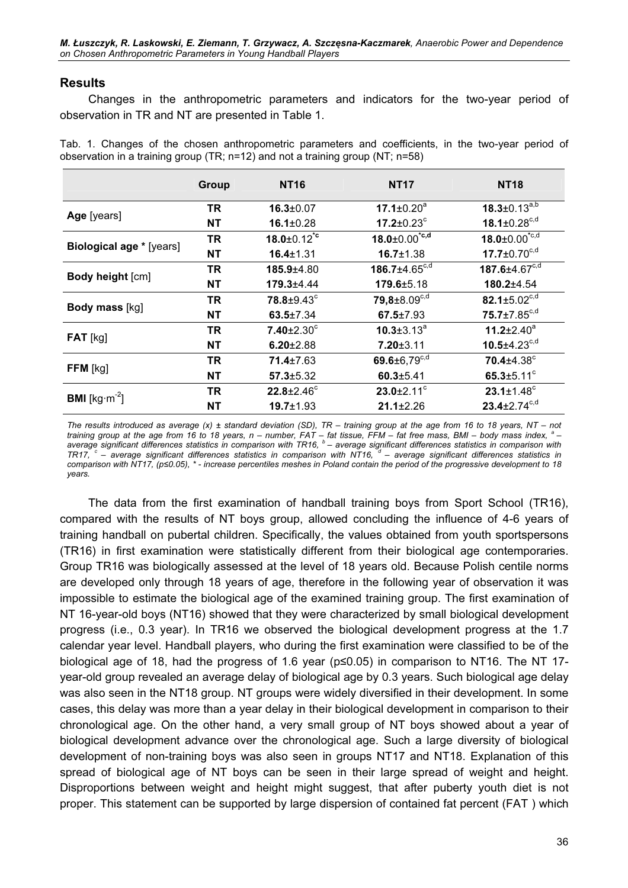### Results

Changes in the anthropometric parameters and indicators for the two-year period of observation in TR and NT are presented in Table 1.

Tab. 1. Changes of the chosen anthropometric parameters and coefficients, in the two-year period of observation in a training group (TR; n=12) and not a training group (NT; n=58)

|                                  | <b>Group</b> | <b>NT16</b>                   | <b>NT17</b>                   | <b>NT18</b>                   |
|----------------------------------|--------------|-------------------------------|-------------------------------|-------------------------------|
| Age [years]                      | TR           | $16.3 \pm 0.07$               | 17.1 $\pm$ 0.20 $^{\circ}$    | $18.3 \pm 0.13^{a,b}$         |
|                                  | <b>NT</b>    | $16.1 \pm 0.28$               | 17.2 $\pm 0.23$ °             | 18.1±0.28 $c,d$               |
| <b>Biological age *</b> [years]  | <b>TR</b>    | $18.0 \pm 0.12$ <sup>*c</sup> | $18.0 \pm 0.00^{\text{te,d}}$ | $18.0 \pm 0.00^{\text{*c,d}}$ |
|                                  | <b>NT</b>    | $16.4 \pm 1.31$               | $16.7 \pm 1.38$               | $17.7 \pm 0.70^{c,d}$         |
| Body height [cm]                 | TR           | $185.9 + 4.80$                | 186.7 $\pm$ 4.65 $c,d$        | 187.6±4.67 <sup>c,d</sup>     |
|                                  | <b>NT</b>    | 179.3±4.44                    | 179.6±5.18                    | 180.2±4.54                    |
| <b>Body mass [kg]</b>            | TR           | 78.8±9.43°                    | $79,8 \pm 8.09^{c,d}$         | 82.1±5.02 $c,d$               |
|                                  | <b>NT</b>    | $63.5 \pm 7.34$               | $67.5 \pm 7.93$               | $75.7 \pm 7.85^{\text{c,d}}$  |
| $FAT$ [kg]                       | <b>TR</b>    | $7.40 \pm 2.30$ °             | $10.3 \pm 3.13^a$             | 11.2 $\pm$ 2.40 $^{\circ}$    |
|                                  | <b>NT</b>    | $6.20 \pm 2.88$               | $7.20 \pm 3.11$               | $10.5 \pm 4.23^{\circ,d}$     |
| FFM [kg]                         | <b>TR</b>    | $71.4 \pm 7.63$               | 69.6 $\pm$ 6,79 $c,d$         | $70.4 \pm 4.38$ °             |
|                                  | <b>NT</b>    | $57.3 \pm 5.32$               | $60.3 \pm 5.41$               | 65.3 $\pm$ 5.11 $^{\circ}$    |
| <b>BMI</b> [kg·m <sup>-2</sup> ] | TR           | $22.8 \pm 2.46^c$             | $23.0 \pm 2.11$ °             | $23.1 \pm 1.48$ <sup>c</sup>  |
|                                  | <b>NT</b>    | $19.7 \pm 1.93$               | $21.1 \pm 2.26$               | $23.4 \pm 2.74^{c,d}$         |

The results introduced as average  $(x)$  ± standard deviation (SD), TR – training group at the age from 16 to 18 years, NT – not training group at the age from 16 to 18 years, n – number, FAT – fat tissue, FFM – fat free mass, BMI – body mass index,  $^a$  – average significant differences statistics in comparison with TR16,  $b$  – average significant differences statistics in comparison with TR17,  $c$  – average significant differences statistics in comparison with NT16,  $d$  – average significant differences statistics in comparison with NT17, (p≤0.05), \* - increase percentiles meshes in Poland contain the period of the progressive development to 18 years.

The data from the first examination of handball training boys from Sport School (TR16), compared with the results of NT boys group, allowed concluding the influence of 4-6 years of training handball on pubertal children. Specifically, the values obtained from youth sportspersons (TR16) in first examination were statistically different from their biological age contemporaries. Group TR16 was biologically assessed at the level of 18 years old. Because Polish centile norms are developed only through 18 years of age, therefore in the following year of observation it was impossible to estimate the biological age of the examined training group. The first examination of NT 16-year-old boys (NT16) showed that they were characterized by small biological development progress (i.e., 0.3 year). In TR16 we observed the biological development progress at the 1.7 calendar year level. Handball players, who during the first examination were classified to be of the biological age of 18, had the progress of 1.6 year (p≤0.05) in comparison to NT16. The NT 17 year-old group revealed an average delay of biological age by 0.3 years. Such biological age delay was also seen in the NT18 group. NT groups were widely diversified in their development. In some cases, this delay was more than a year delay in their biological development in comparison to their chronological age. On the other hand, a very small group of NT boys showed about a year of biological development advance over the chronological age. Such a large diversity of biological development of non-training boys was also seen in groups NT17 and NT18. Explanation of this spread of biological age of NT boys can be seen in their large spread of weight and height. Disproportions between weight and height might suggest, that after puberty youth diet is not proper. This statement can be supported by large dispersion of contained fat percent (FAT ) which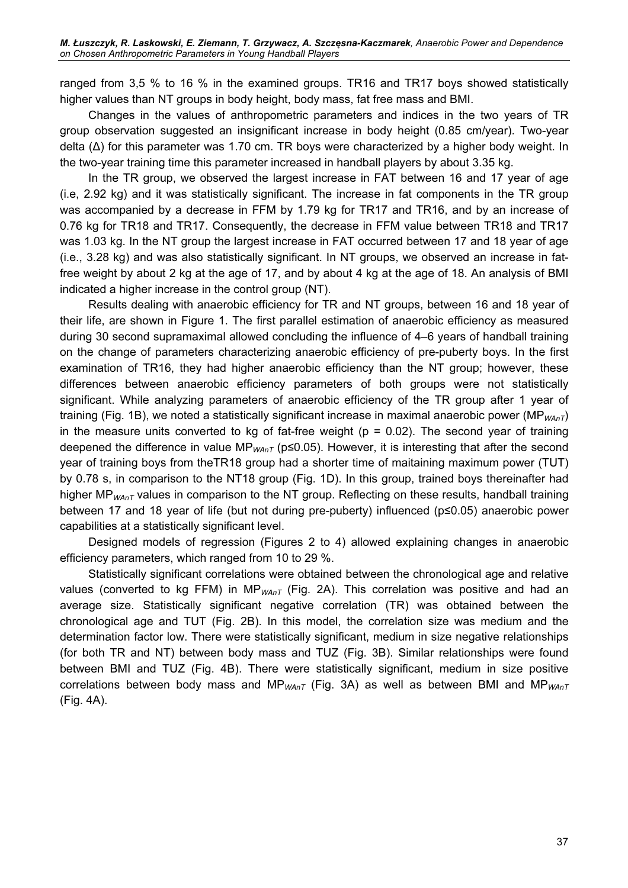ranged from 3,5 % to 16 % in the examined groups. TR16 and TR17 boys showed statistically higher values than NT groups in body height, body mass, fat free mass and BMI.

Changes in the values of anthropometric parameters and indices in the two years of TR group observation suggested an insignificant increase in body height (0.85 cm/year). Two-year delta (Δ) for this parameter was 1.70 cm. TR boys were characterized by a higher body weight. In the two-year training time this parameter increased in handball players by about 3.35 kg.

In the TR group, we observed the largest increase in FAT between 16 and 17 year of age (i.e, 2.92 kg) and it was statistically significant. The increase in fat components in the TR group was accompanied by a decrease in FFM by 1.79 kg for TR17 and TR16, and by an increase of 0.76 kg for TR18 and TR17. Consequently, the decrease in FFM value between TR18 and TR17 was 1.03 kg. In the NT group the largest increase in FAT occurred between 17 and 18 year of age (i.e., 3.28 kg) and was also statistically significant. In NT groups, we observed an increase in fatfree weight by about 2 kg at the age of 17, and by about 4 kg at the age of 18. An analysis of BMI indicated a higher increase in the control group (NT).

Results dealing with anaerobic efficiency for TR and NT groups, between 16 and 18 year of their life, are shown in Figure 1. The first parallel estimation of anaerobic efficiency as measured during 30 second supramaximal allowed concluding the influence of 4–6 years of handball training on the change of parameters characterizing anaerobic efficiency of pre-puberty boys. In the first examination of TR16, they had higher anaerobic efficiency than the NT group; however, these differences between anaerobic efficiency parameters of both groups were not statistically significant. While analyzing parameters of anaerobic efficiency of the TR group after 1 year of training (Fig. 1B), we noted a statistically significant increase in maximal anaerobic power (MP<sub>WAnT</sub>) in the measure units converted to kg of fat-free weight ( $p = 0.02$ ). The second year of training deepened the difference in value  $MP_{WAnT}$  (p≤0.05). However, it is interesting that after the second year of training boys from theTR18 group had a shorter time of maitaining maximum power (TUT) by 0.78 s, in comparison to the NT18 group (Fig. 1D). In this group, trained boys thereinafter had higher MP<sub>WAnT</sub> values in comparison to the NT group. Reflecting on these results, handball training between 17 and 18 year of life (but not during pre-puberty) influenced (p≤0.05) anaerobic power capabilities at a statistically significant level.

Designed models of regression (Figures 2 to 4) allowed explaining changes in anaerobic efficiency parameters, which ranged from 10 to 29 %.

Statistically significant correlations were obtained between the chronological age and relative values (converted to kg FFM) in  $MP_{WAnT}$  (Fig. 2A). This correlation was positive and had an average size. Statistically significant negative correlation (TR) was obtained between the chronological age and TUT (Fig. 2B). In this model, the correlation size was medium and the determination factor low. There were statistically significant, medium in size negative relationships (for both TR and NT) between body mass and TUZ (Fig. 3B). Similar relationships were found between BMI and TUZ (Fig. 4B). There were statistically significant, medium in size positive correlations between body mass and MP<sub>WAnT</sub> (Fig. 3A) as well as between BMI and MP<sub>WAnT</sub> (Fig. 4A).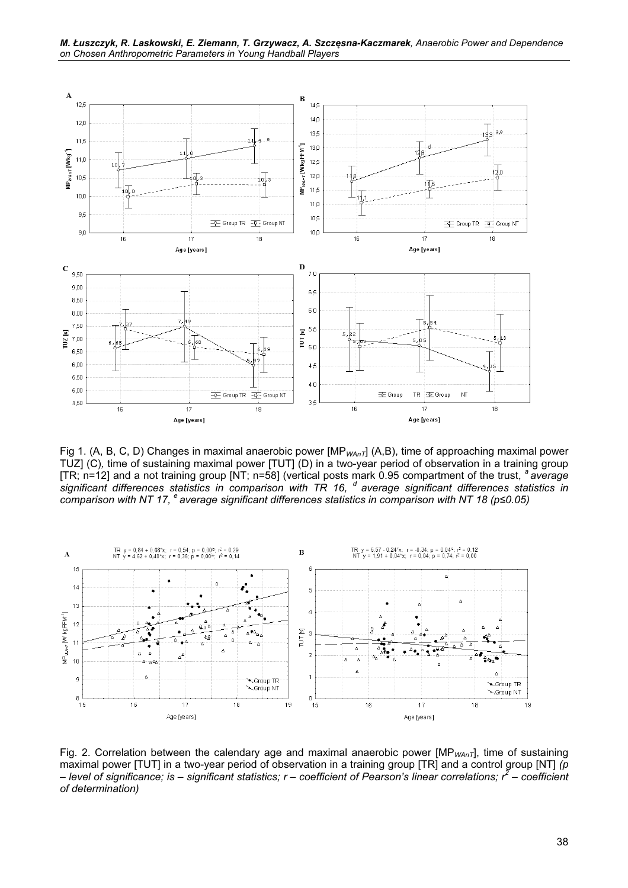



Fig 1. (A, B, C, D) Changes in maximal anaerobic power [MP<sub>WAnT</sub>] (A,B), time of approaching maximal power TUZ] (C), time of sustaining maximal power [TUT] (D) in a two-year period of observation in a training group [TR; n=12] and a not training group [NT; n=58] (vertical posts mark 0.95 compartment of the trust,  $a$  average significant differences statistics in comparison with TR 16,  $d$  average significant differences statistics in comparison with NT 17,  $^{\circ}$  average significant differences statistics in comparison with NT 18 (p≤0.05)



Fig. 2. Correlation between the calendary age and maximal anaerobic power [MP<sub>WAnT</sub>], time of sustaining maximal power [TUT] in a two-year period of observation in a training group [TR] and a control group [NT]  $(p$ – level of significance; is – significant statistics; r – coefficient of Pearson's linear correlations; r<sup>2</sup> – coefficient of determination)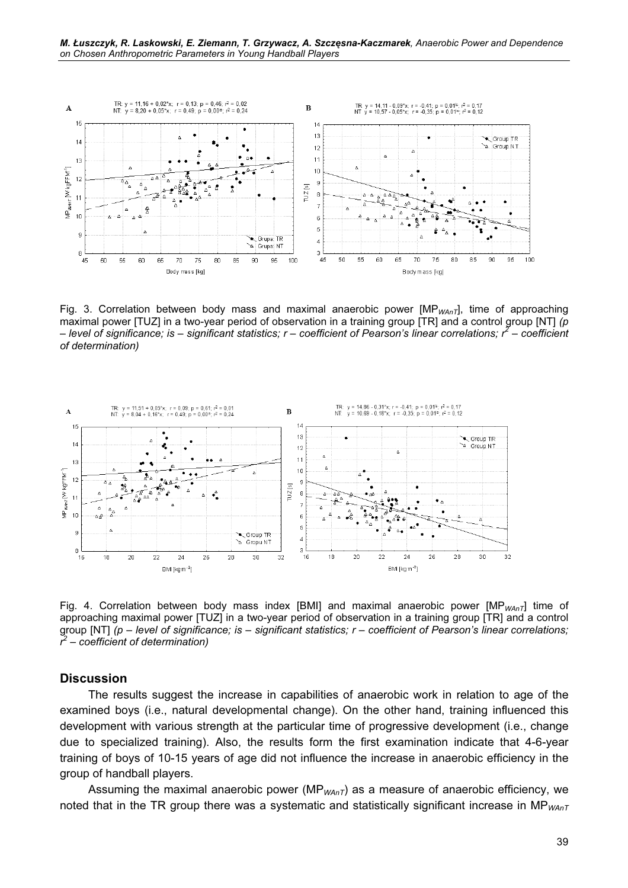

Fig. 3. Correlation between body mass and maximal anaerobic power  $[MP_{WAnT}]$ , time of approaching maximal power [TUZ] in a two-year period of observation in a training group [TR] and a control group [NT]  $(p$ – level of significance; is – significant statistics; r – coefficient of Pearson's linear correlations; r<sup>2</sup> – coefficient of determination)



Fig. 4. Correlation between body mass index [BMI] and maximal anaerobic power  $[MP_{WAnT}]$  time of approaching maximal power [TUZ] in a two-year period of observation in a training group [TR] and a control group  $[NT]$  (p – level of significance; is – significant statistics;  $r$  – coefficient of Pearson's linear correlations;  $r^2$  – coefficient of determination)

#### **Discussion**

The results suggest the increase in capabilities of anaerobic work in relation to age of the examined boys (i.e., natural developmental change). On the other hand, training influenced this development with various strength at the particular time of progressive development (i.e., change due to specialized training). Also, the results form the first examination indicate that 4-6-year training of boys of 10-15 years of age did not influence the increase in anaerobic efficiency in the group of handball players.

Assuming the maximal anaerobic power ( $MP_{WAnT}$ ) as a measure of anaerobic efficiency, we noted that in the TR group there was a systematic and statistically significant increase in MP $_{WAnT}$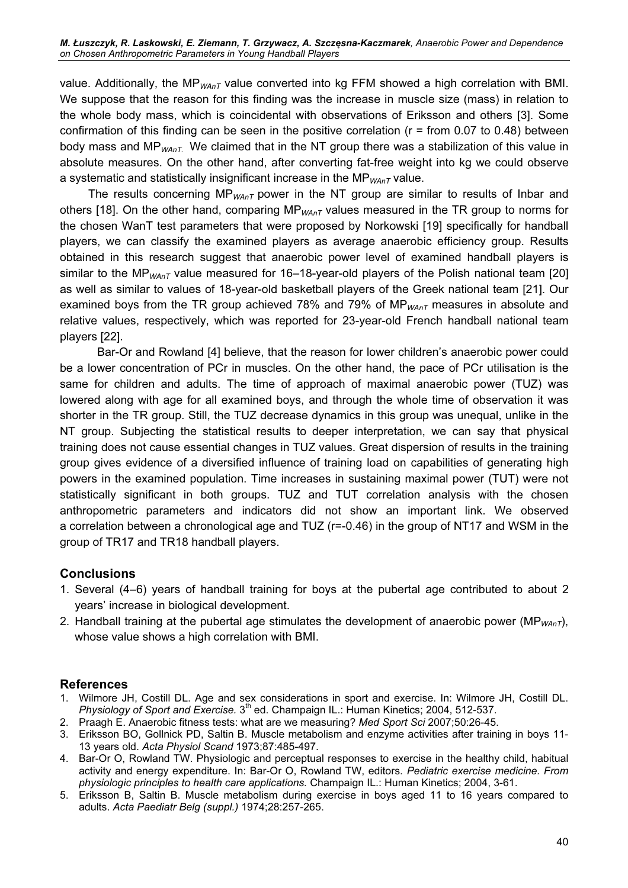value. Additionally, the MP<sub>WAnT</sub> value converted into kg FFM showed a high correlation with BMI. We suppose that the reason for this finding was the increase in muscle size (mass) in relation to the whole body mass, which is coincidental with observations of Eriksson and others [3]. Some confirmation of this finding can be seen in the positive correlation ( $r = from 0.07$  to 0.48) between body mass and  $MP_{WAnT}$ . We claimed that in the NT group there was a stabilization of this value in absolute measures. On the other hand, after converting fat-free weight into kg we could observe a systematic and statistically insignificant increase in the  $MP_{WAnT}$  value.

The results concerning MP<sub>WAnT</sub> power in the NT group are similar to results of Inbar and others [18]. On the other hand, comparing  $MP_{WAnT}$  values measured in the TR group to norms for the chosen WanT test parameters that were proposed by Norkowski [19] specifically for handball players, we can classify the examined players as average anaerobic efficiency group. Results obtained in this research suggest that anaerobic power level of examined handball players is similar to the MP<sub>WAnT</sub> value measured for 16–18-year-old players of the Polish national team [20] as well as similar to values of 18-year-old basketball players of the Greek national team [21]. Our examined boys from the TR group achieved 78% and 79% of  $MP_{WAnT}$  measures in absolute and relative values, respectively, which was reported for 23-year-old French handball national team players [22].

Bar-Or and Rowland [4] believe, that the reason for lower children's anaerobic power could be a lower concentration of PCr in muscles. On the other hand, the pace of PCr utilisation is the same for children and adults. The time of approach of maximal anaerobic power (TUZ) was lowered along with age for all examined boys, and through the whole time of observation it was shorter in the TR group. Still, the TUZ decrease dynamics in this group was unequal, unlike in the NT group. Subjecting the statistical results to deeper interpretation, we can say that physical training does not cause essential changes in TUZ values. Great dispersion of results in the training group gives evidence of a diversified influence of training load on capabilities of generating high powers in the examined population. Time increases in sustaining maximal power (TUT) were not statistically significant in both groups. TUZ and TUT correlation analysis with the chosen anthropometric parameters and indicators did not show an important link. We observed a correlation between a chronological age and TUZ (r=-0.46) in the group of NT17 and WSM in the group of TR17 and TR18 handball players.

### **Conclusions**

- 1. Several (4–6) years of handball training for boys at the pubertal age contributed to about 2 years' increase in biological development.
- 2. Handball training at the pubertal age stimulates the development of anaerobic power (MP<sub>WAnT</sub>), whose value shows a high correlation with BMI.

## References

- 1. Wilmore JH, Costill DL. Age and sex considerations in sport and exercise. In: Wilmore JH, Costill DL. Physiology of Sport and Exercise. 3<sup>th</sup> ed. Champaign IL.: Human Kinetics; 2004, 512-537.
- 2. Praagh E. Anaerobic fitness tests: what are we measuring? Med Sport Sci 2007;50:26-45.
- 3. Eriksson BO, Gollnick PD, Saltin B. Muscle metabolism and enzyme activities after training in boys 11- 13 years old. Acta Physiol Scand 1973;87:485-497.
- 4. Bar-Or O, Rowland TW. Physiologic and perceptual responses to exercise in the healthy child, habitual activity and energy expenditure. In: Bar-Or O, Rowland TW, editors. Pediatric exercise medicine. From physiologic principles to health care applications. Champaign IL.: Human Kinetics; 2004, 3-61.
- 5. Eriksson B, Saltin B. Muscle metabolism during exercise in boys aged 11 to 16 years compared to adults. Acta Paediatr Belg (suppl.) 1974;28:257-265.